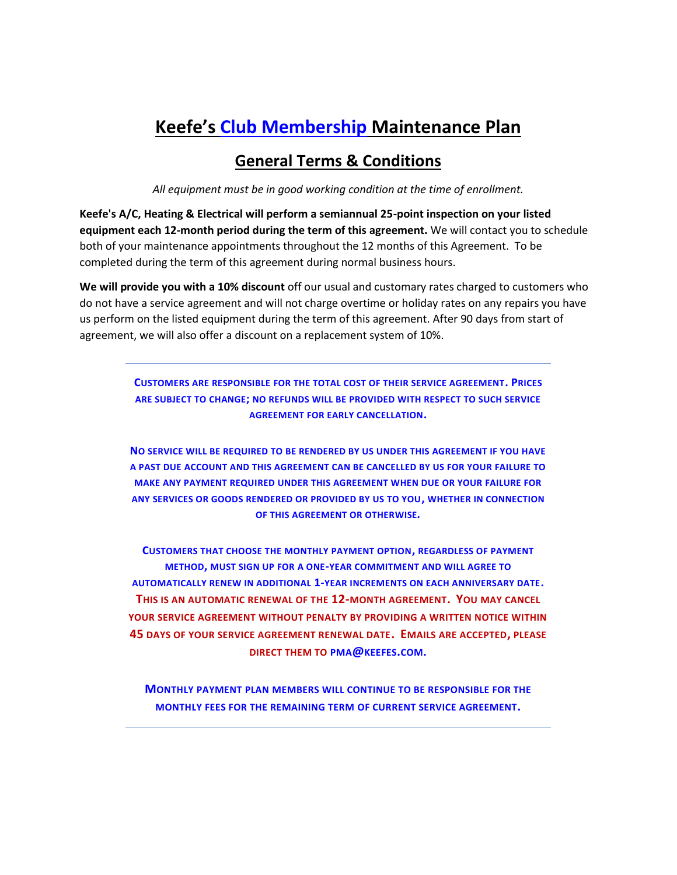## **Keefe's Club Membership Maintenance Plan**

## **General Terms & Conditions**

*All equipment must be in good working condition at the time of enrollment.* 

**Keefe's A/C, Heating & Electrical will perform a semiannual 25-point inspection on your listed equipment each 12-month period during the term of this agreement.** We will contact you to schedule both of your maintenance appointments throughout the 12 months of this Agreement. To be completed during the term of this agreement during normal business hours.

**We will provide you with a 10% discount** off our usual and customary rates charged to customers who do not have a service agreement and will not charge overtime or holiday rates on any repairs you have us perform on the listed equipment during the term of this agreement. After 90 days from start of agreement, we will also offer a discount on a replacement system of 10%.

> **CUSTOMERS ARE RESPONSIBLE FOR THE TOTAL COST OF THEIR SERVICE AGREEMENT. PRICES ARE SUBJECT TO CHANGE; NO REFUNDS WILL BE PROVIDED WITH RESPECT TO SUCH SERVICE AGREEMENT FOR EARLY CANCELLATION.**

**NO SERVICE WILL BE REQUIRED TO BE RENDERED BY US UNDER THIS AGREEMENT IF YOU HAVE A PAST DUE ACCOUNT AND THIS AGREEMENT CAN BE CANCELLED BY US FOR YOUR FAILURE TO MAKE ANY PAYMENT REQUIRED UNDER THIS AGREEMENT WHEN DUE OR YOUR FAILURE FOR ANY SERVICES OR GOODS RENDERED OR PROVIDED BY US TO YOU, WHETHER IN CONNECTION OF THIS AGREEMENT OR OTHERWISE***.* 

**CUSTOMERS THAT CHOOSE THE MONTHLY PAYMENT OPTION, REGARDLESS OF PAYMENT METHOD, MUST SIGN UP FOR A ONE-YEAR COMMITMENT AND WILL AGREE TO AUTOMATICALLY RENEW IN ADDITIONAL 1-YEAR INCREMENTS ON EACH ANNIVERSARY DATE. THIS IS AN AUTOMATIC RENEWAL OF THE 12-MONTH AGREEMENT. YOU MAY CANCEL YOUR SERVICE AGREEMENT WITHOUT PENALTY BY PROVIDING A WRITTEN NOTICE WITHIN 45 DAYS OF YOUR SERVICE AGREEMENT RENEWAL DATE. EMAILS ARE ACCEPTED, PLEASE DIRECT THEM TO PMA@[KEEFES](mailto:pma@keefes.com).COM.**

**MONTHLY PAYMENT PLAN MEMBERS WILL CONTINUE TO BE RESPONSIBLE FOR THE MONTHLY FEES FOR THE REMAINING TERM OF CURRENT SERVICE AGREEMENT.**